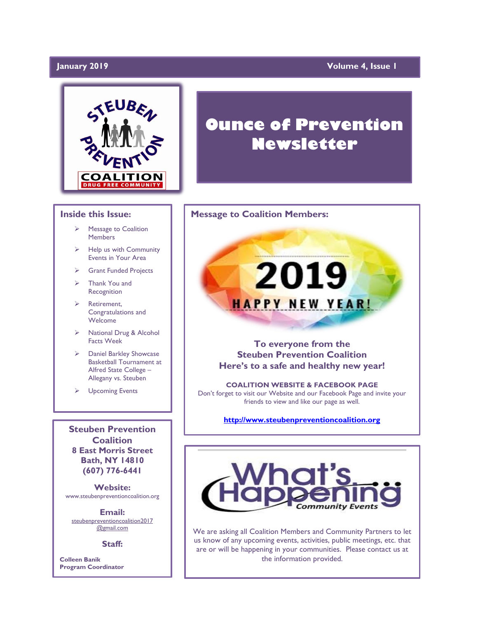# January 2019

# **Volume 4, Issue 1**



### **Inside this Issue:**

- ➢ Message to Coalition Members
- ➢ Help us with Community Events in Your Area
- ➢ Grant Funded Projects
- ➢ Thank You and Recognition
- Retirement, Congratulations and Welcome
- ➢ National Drug & Alcohol Facts Week
- ➢ Daniel Barkley Showcase Basketball Tournament at Alfred State College – Allegany vs. Steuben
- ➢ Upcoming Events

**Steuben Prevention Coalition 8 East Morris Street Bath, NY 14810 (607) 776-6441**

**Website:**  www.steubenpreventioncoalition.org

**Email:**  steubenpreventioncoalition2017 @gmail.com

**Staff:**

**Colleen Banik Program Coordinator**

# **Ounce of Prevention Newsletter**

### **Message to Coalition Members:**

**To everyone from the Steuben Prevention Coalition Here's to a safe and healthy new year!**

2019

**HAPPY NEW YEAR!** 

**COALITION WEBSITE & FACEBOOK PAGE** Don't forget to visit our Website and our Facebook Page and invite your friends to view and like our page as well.

**[http://www.steubenpreventioncoalition.org](http://www.steubenpreventioncoalition.org/)**



We are asking all Coalition Members and Community Partners to let us know of any upcoming events, activities, public meetings, etc. that are or will be happening in your communities. Please contact us at the information provided.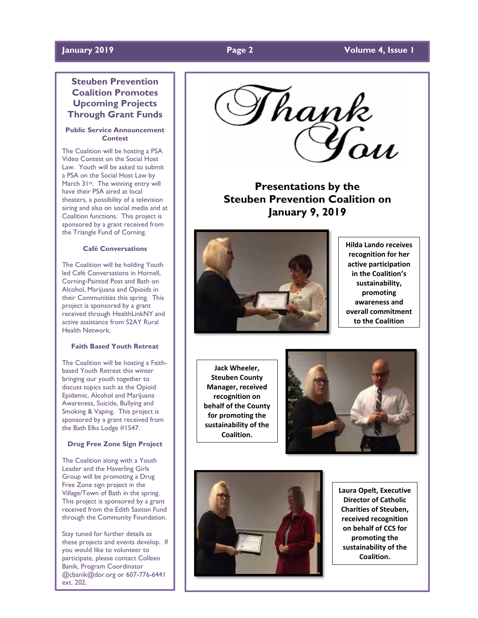### **January 2019 Page 2 Volume 4, Issue 1**

# **Steuben Prevention Coalition Promotes Upcoming Projects Through Grant Funds**

#### **Public Service Announcement Contest**

The Coalition will be hosting a PSA Video Contest on the Social Host Law. Youth will be asked to submit a PSA on the Social Host Law by March 31st. The winning entry will have their PSA aired at local theaters, a possibility of a television airing and also on social media and at Coalition functions. This project is sponsored by a grant received from the Triangle Fund of Corning.

#### **Café Conversations**

The Coalition will be holding Youth led Café Conversations in Hornell, Corning-Painted Post and Bath on Alcohol, Marijuana and Opioids in their Communities this spring. This project is sponsored by a grant received through HealthLinkNY and active assistance from S2AY Rural Health Network.

#### **Faith Based Youth Retreat**

The Coalition will be hosting a Faithbased Youth Retreat this winter bringing our youth together to discuss topics such as the Opioid Epidemic, Alcohol and Marijuana Awareness, Suicide, Bullying and Smoking & Vaping. This project is sponsored by a grant received from the Bath Elks Lodge #1547.

#### **Drug Free Zone Sign Project**

The Coalition along with a Youth Leader and the Haverling Girls Group will be promoting a Drug Free Zone sign project in the Village/Town of Bath in the spring. This project is sponsored by a grant received from the Edith Saxton Fund through the Community Foundation.

Stay tuned for further details as these projects and events develop. If you would like to volunteer to participate, please contact Colleen Banik, Program Coordinator @cbanik@dor.org or 607-776-6441 ext. 202.

Thank<br>'You

**Presentations by the Steuben Prevention Coalition on January 9, 2019**



**Hilda Lando receives recognition for her active participation in the Coalition's sustainability, promoting awareness and overall commitment to the Coalition**

**Jack Wheeler, Steuben County Manager, received recognition on behalf of the County for promoting the sustainability of the Coalition.**





**Laura Opelt, Executive Director of Catholic Charities of Steuben, received recognition on behalf of CCS for promoting the sustainability of the Coalition.**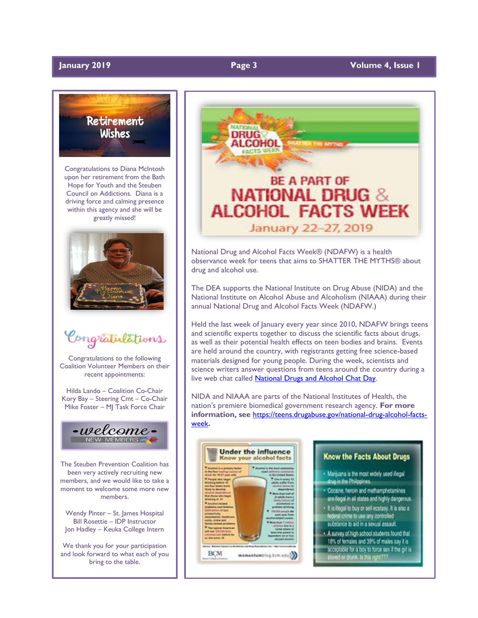

Congratulations to Diana McIntosh upon her retirement from the Bath Hope for Youth and the Steuben Council on Addictions. Diana is a driving force and calming presence within this agency and she will be greatly missed!



Congratulations

Congratulations to the following Coalition Volunteer Members on their recent appointments:

Hilda Lando – Coalition Co-Chair Kory Bay – Steering Cmt – Co-Chair Mike Foster – MJ Task Force Chair



The Steuben Prevention Coalition has been very actively recruiting new members, and we would like to take a moment to welcome some more new members.

Wendy Pinter – St. James Hospital Bill Rosettie – IDP Instructor Jon Hadley – Keuka College Intern

We thank you for your participation and look forward to what each of you bring to the table.



National Drug and Alcohol Facts Week® (NDAFW) is a health observance week for teens that aims to SHATTER THE MYTHS® about drug and alcohol use.

The DEA supports the National Institute on Drug Abuse (NIDA) and the National Institute on Alcohol Abuse and Alcoholism (NIAAA) during their annual National Drug and Alcohol Facts Week (NDAFW.)

Held the last week of January every year since 2010, NDAFW brings teens and scientific experts together to discuss the scientific facts about drugs, as well as their potential health effects on teen bodies and brains. Events are held around the country, with registrants getting free science-based materials designed for young people. During the week, scientists and science writers answer questions from teens around the country during a live web chat called [National Drugs and Alcohol Chat Day.](https://teens.drugabuse.gov/national-drug-alcohol-facts-week/chat-with-scientists) 

NIDA and NIAAA are parts of the National Institutes of Health, the nation's premiere biomedical government research agency. **For more information, see** [https://teens.drugabuse.gov/national-drug-alcohol-facts](https://teens.drugabuse.gov/national-drug-alcohol-facts-week)[week](https://teens.drugabuse.gov/national-drug-alcohol-facts-week)**.** 



### **Know the Facts About Drugs**

- . Manjuana is the most widely used illegal drug in the Philippines.
- · Cocaine, heroin and methamphetamines are illegal in all states and highly dangerous.
- . It is illegal to buy or sell ecstasy. It is also a federal crime to use any controlled
- substance to aid in a sexual assault. . A survey of high school students found that
- 18% of females and 39% of males say it is acceptable for a boy to force sex if the girl is stoned or drunk, is this right???